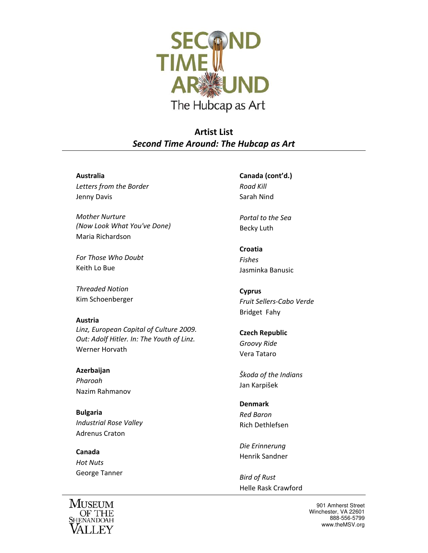

**Artist List** *Second Time Around: The Hubcap as Art*

## **Australia**

*Letters from the Border* Jenny Davis

*Mother Nurture (Now Look What You've Done)* Maria Richardson

*For Those Who Doubt* Keith Lo Bue

*Threaded Notion* Kim Schoenberger

## **Austria**

*Linz, European Capital of Culture 2009. Out: Adolf Hitler. In: The Youth of Linz.* Werner Horvath

**Azerbaijan** *Pharoah* Nazim Rahmanov

**Bulgaria** *Industrial Rose Valley* Adrenus Craton

**Canada** *Hot Nuts* George Tanner



**Canada (cont'd.)** *Road Kill* Sarah Nind

*Portal to the Sea* Becky Luth

**Croatia** *Fishes* Jasminka Banusic

**Cyprus** *Fruit Sellers‐Cabo Verde* Bridget Fahy

**Czech Republic** *Groovy Ride* Vera Tataro

*Škoda of the Indians* Jan Karpišek

**Denmark** *Red Baron* Rich Dethlefsen

*Die Erinnerung* Henrik Sandner

*Bird of Rust* Helle Rask Crawford

> 901 Amherst Street Winchester, VA 22601 888-556-5799 www.theMSV.org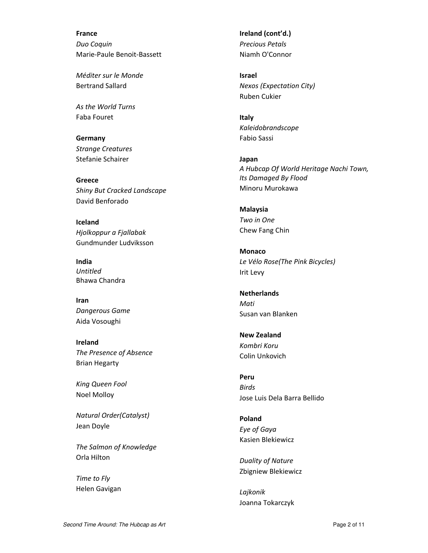**France** *Duo Coquin* Marie‐Paule Benoit‐Bassett

*Méditer sur le Monde* Bertrand Sallard

*As the World Turns* Faba Fouret

**Germany** *Strange Creatures* Stefanie Schairer

**Greece** *Shiny But Cracked Landscape* David Benforado

**Iceland** *Hjolkoppur a Fjallabak* Gundmunder Ludviksson

**India** *Untitled* Bhawa Chandra

**Iran** *Dangerous Game* Aida Vosoughi

**Ireland** *The Presence of Absence* Brian Hegarty

*King Queen Fool* Noel Molloy

*Natural Order(Catalyst)* Jean Doyle

*The Salmon of Knowledge* Orla Hilton

*Time to Fly* Helen Gavigan **Ireland (cont'd.)** *Precious Petals* Niamh O'Connor

**Israel** *Nexos (Expectation City)* Ruben Cukier

**Italy** *Kaleidobrandscope* Fabio Sassi

**Japan** *A Hubcap Of World Heritage Nachi Town, Its Damaged By Flood* Minoru Murokawa

**Malaysia** *Two in One* Chew Fang Chin

**Monaco** *Le Vélo Rose(The Pink Bicycles)* Irit Levy

**Netherlands** *Mati* Susan van Blanken

**New Zealand** *Kombri Koru* Colin Unkovich

**Peru** *Birds* Jose Luis Dela Barra Bellido

**Poland** *Eye of Gaya* Kasien Blekiewicz

*Duality of Nature* Zbigniew Blekiewicz

*Lajkonik* Joanna Tokarczyk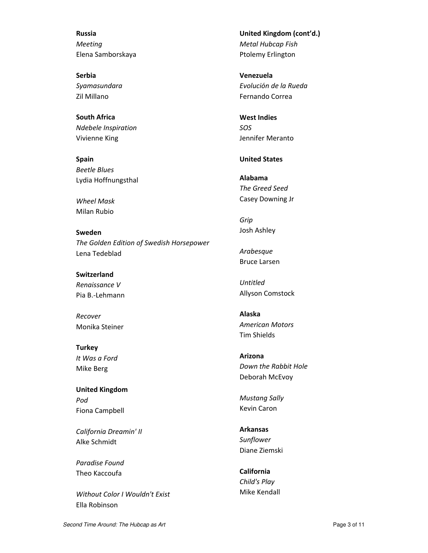**Russia** *Meeting* Elena Samborskaya

**Serbia** *Syamasundara* Zil Millano

**South Africa** *Ndebele Inspiration* Vivienne King

**Spain** *Beetle Blues* Lydia Hoffnungsthal

*Wheel Mask* Milan Rubio

**Sweden** *The Golden Edition of Swedish Horsepower* Lena Tedeblad

**Switzerland** *Renaissance V* Pia B.‐Lehmann

*Recover* Monika Steiner

**Turkey** *It Was a Ford* Mike Berg

**United Kingdom** *Pod* Fiona Campbell

*California Dreamin' II* Alke Schmidt

*Paradise Found* Theo Kaccoufa

*Without Color I Wouldn't Exist* Ella Robinson

**United Kingdom (cont'd.)** *Metal Hubcap Fish* Ptolemy Erlington

**Venezuela** *Evoluciόn de la Rueda* Fernando Correa

**West Indies** *SOS* Jennifer Meranto

## **United States**

**Alabama** *The Greed Seed* Casey Downing Jr

*Grip* Josh Ashley

*Arabesque* Bruce Larsen

*Untitled* Allyson Comstock

**Alaska** *American Motors* Tim Shields

**Arizona** *Down the Rabbit Hole* Deborah McEvoy

*Mustang Sally* Kevin Caron

**Arkansas** *Sunflower* Diane Ziemski

**California** *Child's Play* Mike Kendall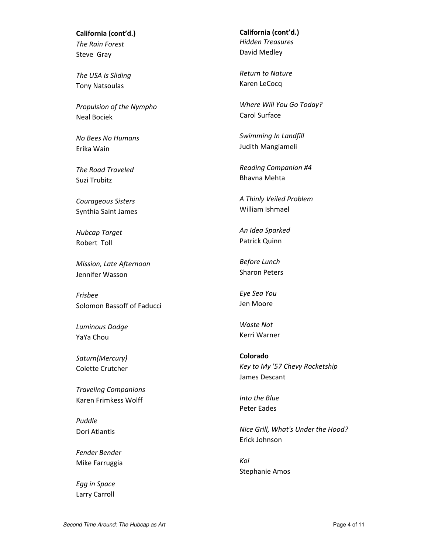**California (cont'd.)** *The Rain Forest* Steve Gray

*The USA Is Sliding* Tony Natsoulas

*Propulsion of the Nympho* Neal Bociek

*No Bees No Humans* Erika Wain

*The Road Traveled* Suzi Trubitz

*Courageous Sisters* Synthia Saint James

*Hubcap Target* Robert Toll

*Mission, Late Afternoon* Jennifer Wasson

*Frisbee* Solomon Bassoff of Faducci

*Luminous Dodge* YaYa Chou

*Saturn(Mercury)* Colette Crutcher

*Traveling Companions* Karen Frimkess Wolff

*Puddle* Dori Atlantis

*Fender Bender* Mike Farruggia

*Egg in Space* Larry Carroll **California (cont'd.)** *Hidden Treasures* David Medley

*Return to Nature* Karen LeCocq

*Where Will You Go Today?* Carol Surface

*Swimming In Landfill* Judith Mangiameli

*Reading Companion #4* Bhavna Mehta

*A Thinly Veiled Problem* William Ishmael

*An Idea Sparked* Patrick Quinn

*Before Lunch* Sharon Peters

*Eye Sea You* Jen Moore

*Waste Not* Kerri Warner

**Colorado** *Key to My '57 Chevy Rocketship* James Descant

*Into the Blue* Peter Eades

*Nice Grill, What's Under the Hood?* Erick Johnson

*Koi* Stephanie Amos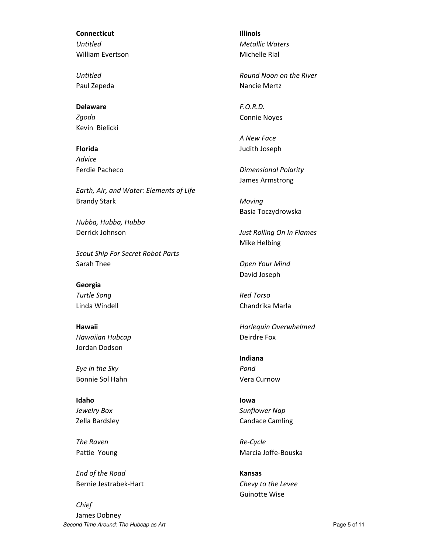**Connecticut** *Untitled* William Evertson

*Untitled* Paul Zepeda

**Delaware** *Zgoda* Kevin Bielicki

**Florida** *Advice* Ferdie Pacheco

*Earth, Air, and Water: Elements of Life* Brandy Stark

*Hubba, Hubba, Hubba* Derrick Johnson

*Scout Ship For Secret Robot Parts* Sarah Thee

**Georgia** *Turtle Song* Linda Windell

**Hawaii** *Hawaiian Hubcap* Jordan Dodson

*Eye in the Sky* Bonnie Sol Hahn

**Idaho** *Jewelry Box* Zella Bardsley

*The Raven* Pattie Young

*End of the Road* Bernie Jestrabek‐Hart

Second Time Around: The Hubcap as Art **Page 5 of 11** and  $P$ age 5 of 11 *Chief* James Dobney

**Illinois** *Metallic Waters* Michelle Rial

*Round Noon on the River* Nancie Mertz

*F.O.R.D.* Connie Noyes

*A New Face* Judith Joseph

*Dimensional Polarity* James Armstrong

*Moving* Basia Toczydrowska

*Just Rolling On In Flames* Mike Helbing

*Open Your Mind* David Joseph

*Red Torso* Chandrika Marla

*Harlequin Overwhelmed* Deirdre Fox

**Indiana** *Pond* Vera Curnow

**Iowa** *Sunflower Nap* Candace Camling

*Re‐Cycle* Marcia Joffe‐Bouska

**Kansas** *Chevy to the Levee* Guinotte Wise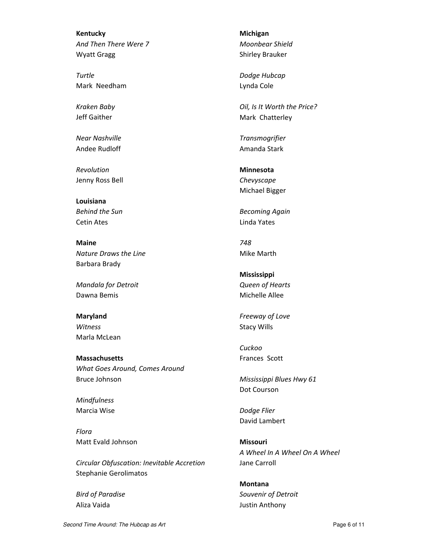**Kentucky** *And Then There Were 7* Wyatt Gragg

*Turtle* Mark Needham

*Kraken Baby* Jeff Gaither

*Near Nashville* Andee Rudloff

*Revolution* Jenny Ross Bell

**Louisiana** *Behind the Sun* Cetin Ates

**Maine** *Nature Draws the Line* Barbara Brady

*Mandala for Detroit* Dawna Bemis

**Maryland** *Witness* Marla McLean

**Massachusetts** *What Goes Around, Comes Around* Bruce Johnson

*Mindfulness* Marcia Wise

*Flora* Matt Evald Johnson

*Circular Obfuscation: Inevitable Accretion* Stephanie Gerolimatos

*Bird of Paradise* Aliza Vaida

**Michigan** *Moonbear Shield* Shirley Brauker

*Dodge Hubcap* Lynda Cole

*Oil, Is It Worth the Price?* Mark Chatterley

*Transmogrifier* Amanda Stark

**Minnesota** *Chevyscape* Michael Bigger

*Becoming Again* Linda Yates

*748* Mike Marth

**Mississippi** *Queen of Hearts* Michelle Allee

*Freeway of Love* Stacy Wills

*Cuckoo* Frances Scott

*Mississippi Blues Hwy 61* Dot Courson

*Dodge Flier* David Lambert

**Missouri** *A Wheel In A Wheel On A Wheel* Jane Carroll

**Montana** *Souvenir of Detroit* Justin Anthony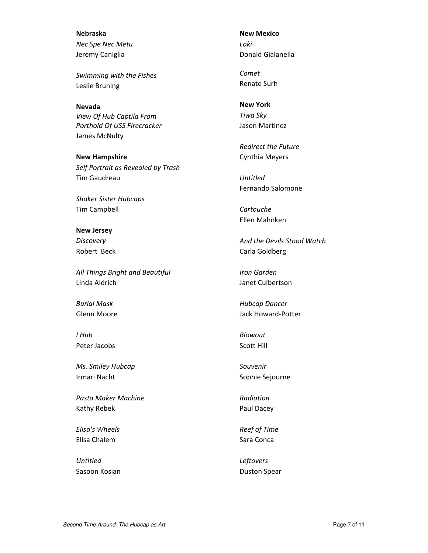**Nebraska** *Nec Spe Nec Metu* Jeremy Caniglia

*Swimming with the Fishes* Leslie Bruning

**Nevada** *View Of Hub Captila From Porthold Of USS Firecracker* James McNulty

**New Hampshire** *Self Portrait as Revealed by Trash* Tim Gaudreau

*Shaker Sister Hubcaps* Tim Campbell

**New Jersey** *Discovery* Robert Beck

*All Things Bright and Beautiful* Linda Aldrich

*Burial Mask* Glenn Moore

*I Hub* Peter Jacobs

*Ms. Smiley Hubcap* Irmari Nacht

*Pasta Maker Machine* Kathy Rebek

*Elisa's Wheels* Elisa Chalem

*Untitled* Sasoon Kosian **New Mexico** *Loki* Donald Gialanella

*Comet* Renate Surh

**New York** *Tiwa Sky* Jason Martinez

*Redirect the Future* Cynthia Meyers

*Untitled* Fernando Salomone

*Cartouche* Ellen Mahnken

*And the Devils Stood Watch* Carla Goldberg

*Iron Garden* Janet Culbertson

*Hubcap Dancer* Jack Howard‐Potter

*Blowout* Scott Hill

*Souvenir* Sophie Sejourne

*Radiation* Paul Dacey

*Reef of Time* Sara Conca

*Leftovers* Duston Spear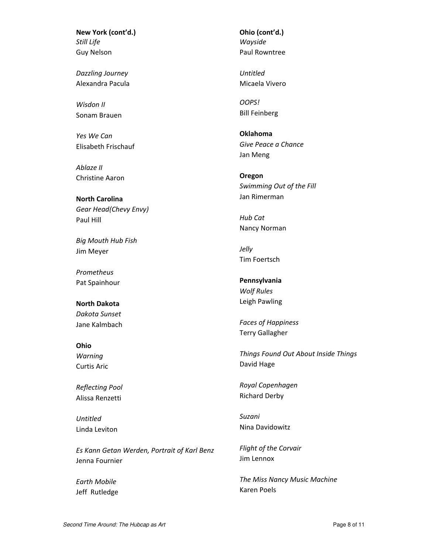**New York (cont'd.)** *Still Life* Guy Nelson

*Dazzling Journey* Alexandra Pacula

*Wisdon II* Sonam Brauen

*Yes We Can* Elisabeth Frischauf

*Ablaze II* Christine Aaron

**North Carolina** *Gear Head(Chevy Envy)* Paul Hill

*Big Mouth Hub Fish* Jim Meyer

*Prometheus* Pat Spainhour

**North Dakota** *Dakota Sunset* Jane Kalmbach

**Ohio** *Warning* Curtis Aric

*Reflecting Pool* Alissa Renzetti

*Untitled* Linda Leviton

*Es Kann Getan Werden, Portrait of Karl Benz* Jenna Fournier

*Earth Mobile* Jeff Rutledge **Ohio (cont'd.)** *Wayside* Paul Rowntree

*Untitled* Micaela Vivero

*OOPS!* Bill Feinberg

**Oklahoma** *Give Peace a Chance* Jan Meng

**Oregon** *Swimming Out of the Fill* Jan Rimerman

*Hub Cat* Nancy Norman

*Jelly* Tim Foertsch

**Pennsylvania** *Wolf Rules* Leigh Pawling

*Faces of Happiness* Terry Gallagher

*Things Found Out About Inside Things* David Hage

*Royal Copenhagen* Richard Derby

*Suzani* Nina Davidowitz

*Flight of the Corvair* Jim Lennox

*The Miss Nancy Music Machine* Karen Poels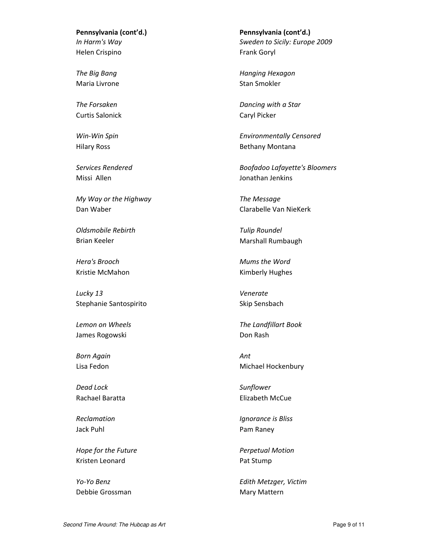**Pennsylvania (cont'd.)** *In Harm's Way* Helen Crispino

*The Big Bang* Maria Livrone

*The Forsaken* Curtis Salonick

*Win‐Win Spin* Hilary Ross

*Services Rendered* Missi Allen

*My Way or the Highway* Dan Waber

*Oldsmobile Rebirth* Brian Keeler

*Hera's Brooch* Kristie McMahon

*Lucky 13* Stephanie Santospirito

*Lemon on Wheels* James Rogowski

*Born Again* Lisa Fedon

*Dead Lock* Rachael Baratta

*Reclamation* Jack Puhl

*Hope for the Future* Kristen Leonard

*Yo‐Yo Benz* Debbie Grossman **Pennsylvania (cont'd.)** *Sweden to Sicily: Europe 2009* Frank Goryl

*Hanging Hexagon* Stan Smokler

*Dancing with a Star* Caryl Picker

*Environmentally Censored* Bethany Montana

*Boofadoo Lafayette's Bloomers* Jonathan Jenkins

*The Message* Clarabelle Van NieKerk

*Tulip Roundel* Marshall Rumbaugh

*Mums the Word* Kimberly Hughes

*Venerate* Skip Sensbach

*The Landfillart Book* Don Rash

*Ant* Michael Hockenbury

*Sunflower* Elizabeth McCue

*Ignorance is Bliss* Pam Raney

*Perpetual Motion* Pat Stump

*Edith Metzger, Victim* Mary Mattern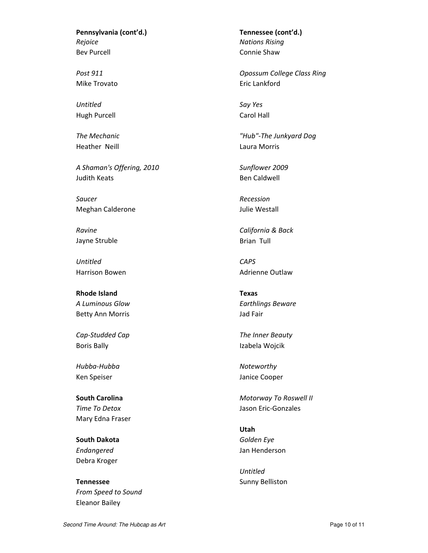**Pennsylvania (cont'd.)** *Rejoice* Bev Purcell

*Post 911* Mike Trovato

*Untitled* Hugh Purcell

*The Mechanic* Heather Neill

*A Shaman's Offering, 2010* Judith Keats

*Saucer* Meghan Calderone

*Ravine* Jayne Struble

*Untitled* Harrison Bowen

**Rhode Island** *A Luminous Glow* Betty Ann Morris

*Cap‐Studded Cap* Boris Bally

*Hubba‐Hubba* Ken Speiser

**South Carolina** *Time To Detox* Mary Edna Fraser

**South Dakota** *Endangered* Debra Kroger

**Tennessee** *From Speed to Sound* Eleanor Bailey

**Tennessee (cont'd.)** *Nations Rising* Connie Shaw

*Opossum College Class Ring* Eric Lankford

*Say Yes* Carol Hall

*"Hub"‐The Junkyard Dog* Laura Morris

*Sunflower 2009* Ben Caldwell

*Recession* Julie Westall

*California & Back* Brian Tull

*CAPS* Adrienne Outlaw

**Texas** *Earthlings Beware* Jad Fair

*The Inner Beauty* Izabela Wojcik

*Noteworthy* Janice Cooper

*Motorway To Roswell II* Jason Eric‐Gonzales

**Utah** *Golden Eye* Jan Henderson

*Untitled* Sunny Belliston